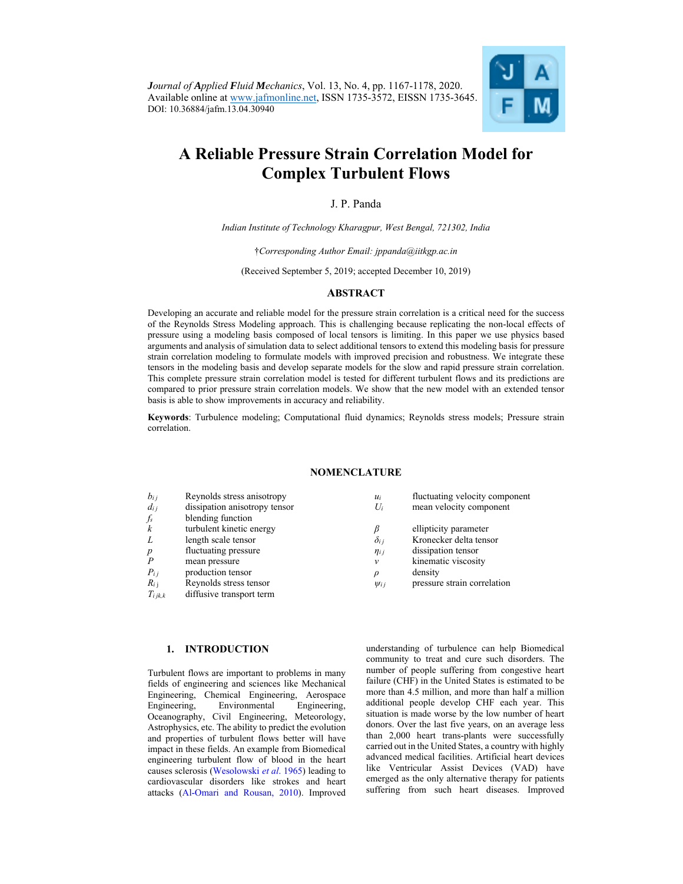*Journal of Applied Fluid Mechanics*, Vol. 13, No. 4, pp. 1167-1178, 2020. Available online at www.jafmonline.net, ISSN 1735-3572, EISSN 1735-3645. DOI: 10.36884/jafm.13.04.30940



# **A Reliable Pressure Strain Correlation Model for Complex Turbulent Flows**

# J. P. Panda

*Indian Institute of Technology Kharagpur, West Bengal, 721302, India*

†*Corresponding Author Email: jppanda@iitkgp.ac.in* 

(Received September 5, 2019; accepted December 10, 2019)

#### **ABSTRACT**

Developing an accurate and reliable model for the pressure strain correlation is a critical need for the success of the Reynolds Stress Modeling approach. This is challenging because replicating the non-local effects of pressure using a modeling basis composed of local tensors is limiting. In this paper we use physics based arguments and analysis of simulation data to select additional tensors to extend this modeling basis for pressure strain correlation modeling to formulate models with improved precision and robustness. We integrate these tensors in the modeling basis and develop separate models for the slow and rapid pressure strain correlation. This complete pressure strain correlation model is tested for different turbulent flows and its predictions are compared to prior pressure strain correlation models. We show that the new model with an extended tensor basis is able to show improvements in accuracy and reliability.

**Keywords**: Turbulence modeling; Computational fluid dynamics; Reynolds stress models; Pressure strain correlation.

# **NOMENCLATURE**

| $b_{i,i}$        | Reynolds stress anisotropy    | $u_i$          | fluctuating velocity component |
|------------------|-------------------------------|----------------|--------------------------------|
| $d_{ij}$         | dissipation anisotropy tensor | $U_i$          | mean velocity component        |
| $f_s$            | blending function             |                |                                |
| k                | turbulent kinetic energy      | β              | ellipticity parameter          |
| L                | length scale tensor           | $\delta_{i}$ i | Kronecker delta tensor         |
| $\boldsymbol{p}$ | fluctuating pressure          | $\eta_{ij}$    | dissipation tensor             |
|                  | mean pressure                 | $\mathcal V$   | kinematic viscosity            |
| $P_{ij}$         | production tensor             | $\rho$         | density                        |
| $R_{i,i}$        | Reynolds stress tensor        | $\psi$ ij      | pressure strain correlation    |
| $T_{i\, jk,k}$   | diffusive transport term      |                |                                |

### **1. INTRODUCTION**

Turbulent flows are important to problems in many fields of engineering and sciences like Mechanical Engineering, Chemical Engineering, Aerospace Engineering, Environmental Engineering, Oceanography, Civil Engineering, Meteorology, Astrophysics, etc. The ability to predict the evolution and properties of turbulent flows better will have impact in these fields. An example from Biomedical engineering turbulent flow of blood in the heart causes sclerosis (Wesolowski *et al*. 1965) leading to cardiovascular disorders like strokes and heart attacks (Al-Omari and Rousan, 2010). Improved

understanding of turbulence can help Biomedical community to treat and cure such disorders. The number of people suffering from congestive heart failure (CHF) in the United States is estimated to be more than 4.5 million, and more than half a million additional people develop CHF each year. This situation is made worse by the low number of heart donors. Over the last five years, on an average less than 2,000 heart trans-plants were successfully carried out in the United States, a country with highly advanced medical facilities. Artificial heart devices like Ventricular Assist Devices (VAD) have emerged as the only alternative therapy for patients suffering from such heart diseases. Improved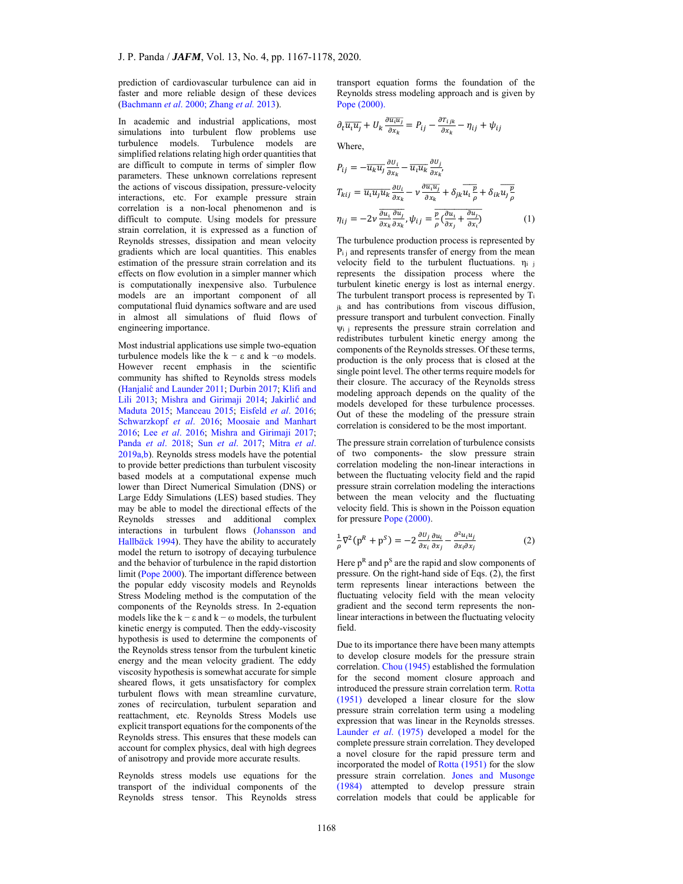prediction of cardiovascular turbulence can aid in faster and more reliable design of these devices (Bachmann *et al*. 2000; Zhang *et al.* 2013).

In academic and industrial applications, most simulations into turbulent flow problems use turbulence models. Turbulence models are simplified relations relating high order quantities that are difficult to compute in terms of simpler flow parameters. These unknown correlations represent the actions of viscous dissipation, pressure-velocity interactions, etc. For example pressure strain correlation is a non-local phenomenon and is difficult to compute. Using models for pressure strain correlation, it is expressed as a function of Reynolds stresses, dissipation and mean velocity gradients which are local quantities. This enables estimation of the pressure strain correlation and its effects on flow evolution in a simpler manner which is computationally inexpensive also. Turbulence models are an important component of all computational fluid dynamics software and are used in almost all simulations of fluid flows of engineering importance.

Most industrial applications use simple two-equation turbulence models like the  $k - ε$  and  $k - ω$  models. However recent emphasis in the scientific community has shifted to Reynolds stress models (Hanjalić and Launder 2011; Durbin 2017; Klifi and Lili 2013; Mishra and Girimaji 2014; Jakirlić and Maduta 2015; Manceau 2015; Eisfeld *et al*. 2016; Schwarzkopf *et al*. 2016; Moosaie and Manhart 2016; Lee *et al*. 2016; Mishra and Girimaji 2017; Panda *et al*. 2018; Sun *et al*. 2017; Mitra *et al*. 2019a,b). Reynolds stress models have the potential to provide better predictions than turbulent viscosity based models at a computational expense much lower than Direct Numerical Simulation (DNS) or Large Eddy Simulations (LES) based studies. They may be able to model the directional effects of the Reynolds stresses and additional complex interactions in turbulent flows (Johansson and Hallbäck 1994). They have the ability to accurately model the return to isotropy of decaying turbulence and the behavior of turbulence in the rapid distortion limit (Pope 2000). The important difference between the popular eddy viscosity models and Reynolds Stress Modeling method is the computation of the components of the Reynolds stress. In 2-equation models like the  $k - \varepsilon$  and  $k - \omega$  models, the turbulent kinetic energy is computed. Then the eddy-viscosity hypothesis is used to determine the components of the Reynolds stress tensor from the turbulent kinetic energy and the mean velocity gradient. The eddy viscosity hypothesis is somewhat accurate for simple sheared flows, it gets unsatisfactory for complex turbulent flows with mean streamline curvature, zones of recirculation, turbulent separation and reattachment, etc. Reynolds Stress Models use explicit transport equations for the components of the Reynolds stress. This ensures that these models can account for complex physics, deal with high degrees of anisotropy and provide more accurate results.

Reynolds stress models use equations for the transport of the individual components of the Reynolds stress tensor. This Reynolds stress transport equation forms the foundation of the Reynolds stress modeling approach and is given by Pope (2000).

$$
\partial_t \overline{u_i u_j} + U_k \frac{\partial \overline{u_i u_j}}{\partial x_k} = P_{ij} - \frac{\partial T_{ijk}}{\partial x_k} - \eta_{ij} + \psi_{ij}
$$

Where,

$$
P_{ij} = -\overline{u_k u_j} \frac{\partial u_i}{\partial x_k} - \overline{u_i u_k} \frac{\partial u_j}{\partial x_k},
$$
  
\n
$$
T_{kij} = \overline{u_i u_j u_k} \frac{\partial u_i}{\partial x_k} - \nu \frac{\partial \overline{u_i u_j}}{\partial x_k} + \delta_{jk} \overline{u_i \frac{p}{\rho}} + \delta_{ik} \overline{u_j \frac{p}{\rho}}
$$
  
\n
$$
\eta_{ij} = -2\nu \frac{\overline{\partial u_i} \frac{\partial u_j}{\partial x_k}}{\partial x_k \partial x_k}, \psi_{ij} = \frac{\overline{p}}{\rho} \frac{\overline{\partial u_i}}{\overline{\partial x_j}} + \frac{\partial u_j}{\partial x_i}
$$
(1)

The turbulence production process is represented by  $P_{i,i}$  and represents transfer of energy from the mean velocity field to the turbulent fluctuations.  $\eta_i$  j represents the dissipation process where the turbulent kinetic energy is lost as internal energy. The turbulent transport process is represented by Ti jk and has contributions from viscous diffusion, pressure transport and turbulent convection. Finally  $\psi$ <sub>i</sub> i represents the pressure strain correlation and redistributes turbulent kinetic energy among the components of the Reynolds stresses. Of these terms, production is the only process that is closed at the single point level. The other terms require models for their closure. The accuracy of the Reynolds stress modeling approach depends on the quality of the models developed for these turbulence processes. Out of these the modeling of the pressure strain correlation is considered to be the most important.

The pressure strain correlation of turbulence consists of two components- the slow pressure strain correlation modeling the non-linear interactions in between the fluctuating velocity field and the rapid pressure strain correlation modeling the interactions between the mean velocity and the fluctuating velocity field. This is shown in the Poisson equation for pressure Pope (2000).

$$
\frac{1}{\rho}\nabla^2(p^R + p^S) = -2\frac{\partial u_j}{\partial x_i}\frac{\partial u_i}{\partial x_j} - \frac{\partial^2 u_i u_j}{\partial x_i \partial x_j}
$$
(2)

Here  $p<sup>R</sup>$  and  $p<sup>S</sup>$  are the rapid and slow components of pressure. On the right-hand side of Eqs. (2), the first term represents linear interactions between the fluctuating velocity field with the mean velocity gradient and the second term represents the nonlinear interactions in between the fluctuating velocity field.

Due to its importance there have been many attempts to develop closure models for the pressure strain correlation. Chou (1945) established the formulation for the second moment closure approach and introduced the pressure strain correlation term. Rotta (1951) developed a linear closure for the slow pressure strain correlation term using a modeling expression that was linear in the Reynolds stresses. Launder *et al*. (1975) developed a model for the complete pressure strain correlation. They developed a novel closure for the rapid pressure term and incorporated the model of Rotta (1951) for the slow pressure strain correlation. Jones and Musonge (1984) attempted to develop pressure strain correlation models that could be applicable for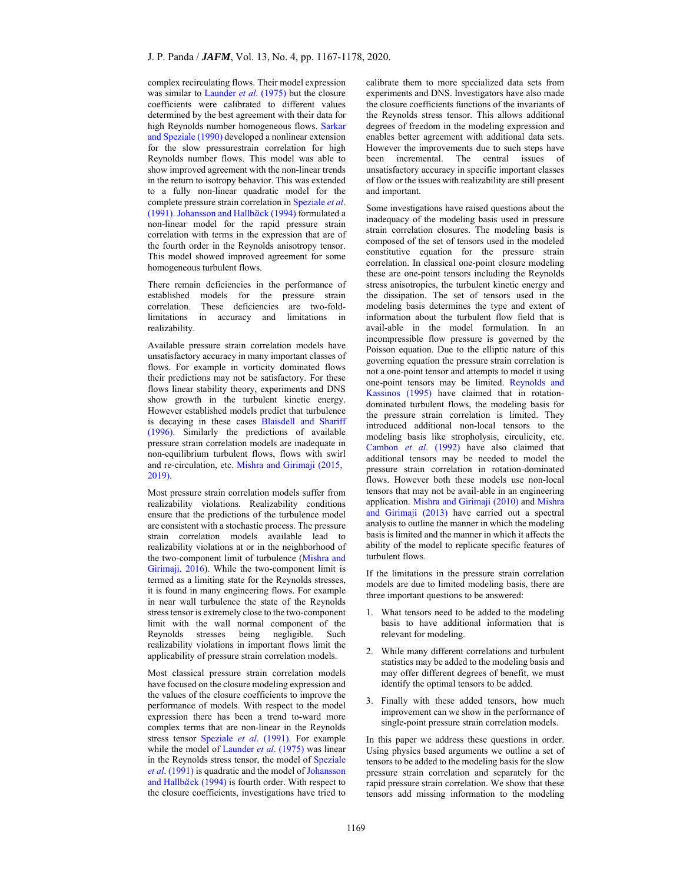complex recirculating flows. Their model expression was similar to Launder *et al*. (1975) but the closure coefficients were calibrated to different values determined by the best agreement with their data for high Reynolds number homogeneous flows. Sarkar and Speziale (1990) developed a nonlinear extension for the slow pressurestrain correlation for high Reynolds number flows. This model was able to show improved agreement with the non-linear trends in the return to isotropy behavior. This was extended to a fully non-linear quadratic model for the complete pressure strain correlation in Speziale *et al*. (1991). Johansson and Hallbäck (1994) formulated a non-linear model for the rapid pressure strain correlation with terms in the expression that are of the fourth order in the Reynolds anisotropy tensor. This model showed improved agreement for some homogeneous turbulent flows.

There remain deficiencies in the performance of established models for the pressure strain correlation. These deficiencies are two-foldlimitations in accuracy and limitations in realizability.

Available pressure strain correlation models have unsatisfactory accuracy in many important classes of flows. For example in vorticity dominated flows their predictions may not be satisfactory. For these flows linear stability theory, experiments and DNS show growth in the turbulent kinetic energy. However established models predict that turbulence is decaying in these cases Blaisdell and Shariff (1996). Similarly the predictions of available pressure strain correlation models are inadequate in non-equilibrium turbulent flows, flows with swirl and re-circulation, etc. Mishra and Girimaji (2015, 2019).

Most pressure strain correlation models suffer from realizability violations. Realizability conditions ensure that the predictions of the turbulence model are consistent with a stochastic process. The pressure strain correlation models available lead to realizability violations at or in the neighborhood of the two-component limit of turbulence (Mishra and Girimaji, 2016). While the two-component limit is termed as a limiting state for the Reynolds stresses, it is found in many engineering flows. For example in near wall turbulence the state of the Reynolds stress tensor is extremely close to the two-component limit with the wall normal component of the Reynolds stresses being negligible. Such realizability violations in important flows limit the applicability of pressure strain correlation models.

Most classical pressure strain correlation models have focused on the closure modeling expression and the values of the closure coefficients to improve the performance of models. With respect to the model expression there has been a trend to-ward more complex terms that are non-linear in the Reynolds stress tensor Speziale *et al*. (1991). For example while the model of Launder *et al.* (1975) was linear in the Reynolds stress tensor, the model of Speziale *et al*. (1991) is quadratic and the model of Johansson and Hallbäck (1994) is fourth order. With respect to the closure coefficients, investigations have tried to

calibrate them to more specialized data sets from experiments and DNS. Investigators have also made the closure coefficients functions of the invariants of the Reynolds stress tensor. This allows additional degrees of freedom in the modeling expression and enables better agreement with additional data sets. However the improvements due to such steps have been incremental. The central issues of unsatisfactory accuracy in specific important classes of flow or the issues with realizability are still present and important.

Some investigations have raised questions about the inadequacy of the modeling basis used in pressure strain correlation closures. The modeling basis is composed of the set of tensors used in the modeled constitutive equation for the pressure strain correlation. In classical one-point closure modeling these are one-point tensors including the Reynolds stress anisotropies, the turbulent kinetic energy and the dissipation. The set of tensors used in the modeling basis determines the type and extent of information about the turbulent flow field that is avail-able in the model formulation. In an incompressible flow pressure is governed by the Poisson equation. Due to the elliptic nature of this governing equation the pressure strain correlation is not a one-point tensor and attempts to model it using one-point tensors may be limited. Reynolds and Kassinos (1995) have claimed that in rotationdominated turbulent flows, the modeling basis for the pressure strain correlation is limited. They introduced additional non-local tensors to the modeling basis like stropholysis, circulicity, etc. Cambon *et al*. (1992) have also claimed that additional tensors may be needed to model the pressure strain correlation in rotation-dominated flows. However both these models use non-local tensors that may not be avail-able in an engineering application. Mishra and Girimaji (2010) and Mishra and Girimaji (2013) have carried out a spectral analysis to outline the manner in which the modeling basis is limited and the manner in which it affects the ability of the model to replicate specific features of turbulent flows.

If the limitations in the pressure strain correlation models are due to limited modeling basis, there are three important questions to be answered:

- 1. What tensors need to be added to the modeling basis to have additional information that is relevant for modeling.
- 2. While many different correlations and turbulent statistics may be added to the modeling basis and may offer different degrees of benefit, we must identify the optimal tensors to be added.
- 3. Finally with these added tensors, how much improvement can we show in the performance of single-point pressure strain correlation models.

In this paper we address these questions in order. Using physics based arguments we outline a set of tensors to be added to the modeling basis for the slow pressure strain correlation and separately for the rapid pressure strain correlation. We show that these tensors add missing information to the modeling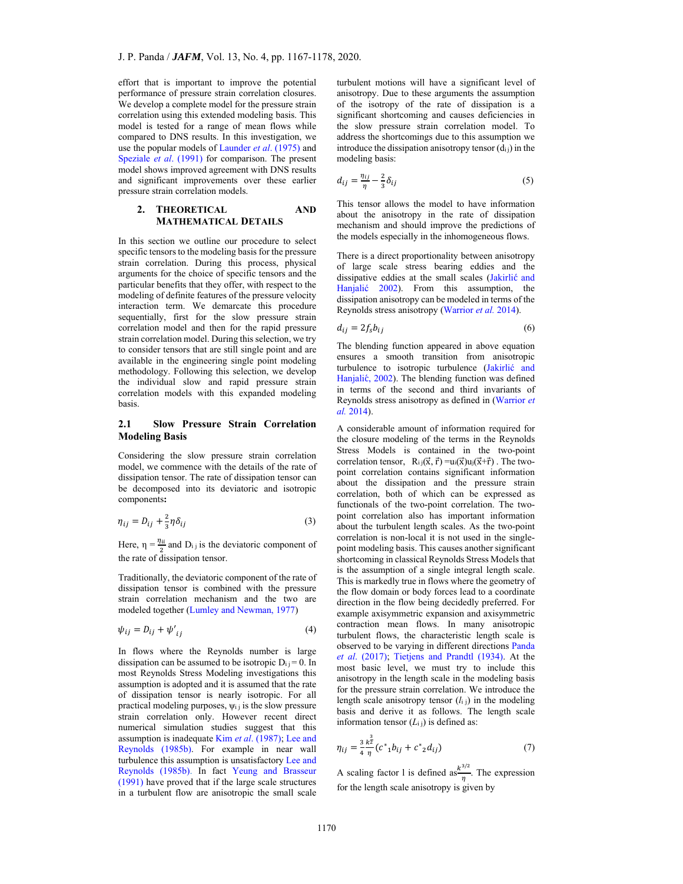effort that is important to improve the potential performance of pressure strain correlation closures. We develop a complete model for the pressure strain correlation using this extended modeling basis. This model is tested for a range of mean flows while compared to DNS results. In this investigation, we use the popular models of Launder *et al*. (1975) and Speziale *et al*. (1991) for comparison. The present model shows improved agreement with DNS results and significant improvements over these earlier pressure strain correlation models.

# **2. THEORETICAL AND MATHEMATICAL DETAILS**

In this section we outline our procedure to select specific tensors to the modeling basis for the pressure strain correlation. During this process, physical arguments for the choice of specific tensors and the particular benefits that they offer, with respect to the modeling of definite features of the pressure velocity interaction term. We demarcate this procedure sequentially, first for the slow pressure strain correlation model and then for the rapid pressure strain correlation model. During this selection, we try to consider tensors that are still single point and are available in the engineering single point modeling methodology. Following this selection, we develop the individual slow and rapid pressure strain correlation models with this expanded modeling basis.

# **2.1 Slow Pressure Strain Correlation Modeling Basis**

Considering the slow pressure strain correlation model, we commence with the details of the rate of dissipation tensor. The rate of dissipation tensor can be decomposed into its deviatoric and isotropic components**:** 

$$
\eta_{ij} = D_{ij} + \frac{2}{3}\eta \delta_{ij} \tag{3}
$$

Here,  $\eta = \frac{\eta_{ii}}{2}$  and  $D_{i,j}$  is the deviatoric component of the rate of dissipation tensor.

Traditionally, the deviatoric component of the rate of dissipation tensor is combined with the pressure strain correlation mechanism and the two are modeled together (Lumley and Newman, 1977)

$$
\psi_{ij} = D_{ij} + \psi'_{ij} \tag{4}
$$

In flows where the Reynolds number is large dissipation can be assumed to be isotropic  $D_i = 0$ . In most Reynolds Stress Modeling investigations this assumption is adopted and it is assumed that the rate of dissipation tensor is nearly isotropic. For all practical modeling purposes,  $\psi$ <sub>i</sub> j is the slow pressure strain correlation only. However recent direct numerical simulation studies suggest that this assumption is inadequate Kim *et al*. (1987); Lee and Reynolds (1985b). For example in near wall turbulence this assumption is unsatisfactory Lee and Reynolds (1985b). In fact Yeung and Brasseur (1991) have proved that if the large scale structures in a turbulent flow are anisotropic the small scale

turbulent motions will have a significant level of anisotropy. Due to these arguments the assumption of the isotropy of the rate of dissipation is a significant shortcoming and causes deficiencies in the slow pressure strain correlation model. To address the shortcomings due to this assumption we introduce the dissipation anisotropy tensor  $(d_{ii})$  in the modeling basis:

$$
d_{ij} = \frac{\eta_{ij}}{\eta} - \frac{2}{3}\delta_{ij}
$$
 (5)

This tensor allows the model to have information about the anisotropy in the rate of dissipation mechanism and should improve the predictions of the models especially in the inhomogeneous flows.

There is a direct proportionality between anisotropy of large scale stress bearing eddies and the dissipative eddies at the small scales (Jakirlić and Hanjalić 2002). From this assumption, the dissipation anisotropy can be modeled in terms of the Reynolds stress anisotropy (Warrior *et al.* 2014).

$$
d_{ij} = 2f_s b_{ij} \tag{6}
$$

The blending function appeared in above equation ensures a smooth transition from anisotropic turbulence to isotropic turbulence (Jakirlić and Hanjalić, 2002). The blending function was defined in terms of the second and third invariants of Reynolds stress anisotropy as defined in (Warrior *et al.* 2014).

A considerable amount of information required for the closure modeling of the terms in the Reynolds Stress Models is contained in the two-point correlation tensor,  $R_{i,j}(\vec{x}, \vec{r}) = u_i(\vec{x})u_j(\vec{x} + \vec{r})$ . The twopoint correlation contains significant information about the dissipation and the pressure strain correlation, both of which can be expressed as functionals of the two-point correlation. The twopoint correlation also has important information about the turbulent length scales. As the two-point correlation is non-local it is not used in the singlepoint modeling basis. This causes another significant shortcoming in classical Reynolds Stress Models that is the assumption of a single integral length scale. This is markedly true in flows where the geometry of the flow domain or body forces lead to a coordinate direction in the flow being decidedly preferred. For example axisymmetric expansion and axisymmetric contraction mean flows. In many anisotropic turbulent flows, the characteristic length scale is observed to be varying in different directions Panda *et al*. (2017); Tietjens and Prandtl (1934). At the most basic level, we must try to include this anisotropy in the length scale in the modeling basis for the pressure strain correlation. We introduce the length scale anisotropy tensor  $(l_{i j})$  in the modeling basis and derive it as follows. The length scale information tensor  $(L_{i,j})$  is defined as:

$$
\eta_{ij} = \frac{3}{4} \frac{k^{\frac{3}{2}}}{\eta} (c^* \n_1 b_{ij} + c^* \n_2 d_{ij})
$$
\n(7)

A scaling factor 1 is defined as  $\frac{k^{3/2}}{n}$ . The expression for the length scale anisotropy is given by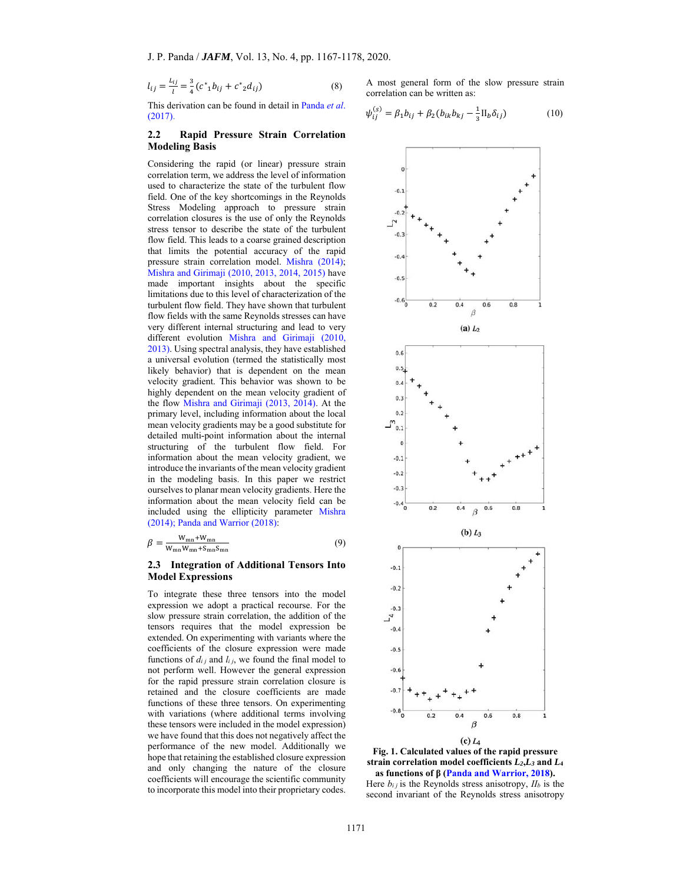$$
l_{ij} = \frac{L_{ij}}{l} = \frac{3}{4} (c^* \, 1 b_{ij} + c^* \, 2 d_{ij}) \tag{8}
$$

This derivation can be found in detail in Panda *et al*. (2017).

#### **2.2 Rapid Pressure Strain Correlation Modeling Basis**

Considering the rapid (or linear) pressure strain correlation term, we address the level of information used to characterize the state of the turbulent flow field. One of the key shortcomings in the Reynolds Stress Modeling approach to pressure strain correlation closures is the use of only the Reynolds stress tensor to describe the state of the turbulent flow field. This leads to a coarse grained description that limits the potential accuracy of the rapid pressure strain correlation model. Mishra (2014); Mishra and Girimaji (2010, 2013, 2014, 2015) have made important insights about the specific limitations due to this level of characterization of the turbulent flow field. They have shown that turbulent flow fields with the same Reynolds stresses can have very different internal structuring and lead to very different evolution Mishra and Girimaji (2010, 2013). Using spectral analysis, they have established a universal evolution (termed the statistically most likely behavior) that is dependent on the mean velocity gradient. This behavior was shown to be highly dependent on the mean velocity gradient of the flow Mishra and Girimaji (2013, 2014). At the primary level, including information about the local mean velocity gradients may be a good substitute for detailed multi-point information about the internal structuring of the turbulent flow field. For information about the mean velocity gradient, we introduce the invariants of the mean velocity gradient in the modeling basis. In this paper we restrict ourselves to planar mean velocity gradients. Here the information about the mean velocity field can be included using the ellipticity parameter Mishra (2014); Panda and Warrior (2018):

$$
\beta = \frac{W_{mn} + W_{mn}}{W_{mn}W_{mn} + S_{mn}S_{mn}}\tag{9}
$$

### **2.3 Integration of Additional Tensors Into Model Expressions**

To integrate these three tensors into the model expression we adopt a practical recourse. For the slow pressure strain correlation, the addition of the tensors requires that the model expression be extended. On experimenting with variants where the coefficients of the closure expression were made functions of  $d_{ij}$  and  $l_{ij}$ , we found the final model to not perform well. However the general expression for the rapid pressure strain correlation closure is retained and the closure coefficients are made functions of these three tensors. On experimenting with variations (where additional terms involving these tensors were included in the model expression) we have found that this does not negatively affect the performance of the new model. Additionally we hope that retaining the established closure expression and only changing the nature of the closure coefficients will encourage the scientific community to incorporate this model into their proprietary codes.

A most general form of the slow pressure strain correlation can be written as:

$$
\psi_{ij}^{(s)} = \beta_1 b_{ij} + \beta_2 (b_{ik} b_{kj} - \frac{1}{3} \Pi_b \delta_{ij})
$$
 (10)





Here  $b_{ij}$  is the Reynolds stress anisotropy,  $II_b$  is the second invariant of the Reynolds stress anisotropy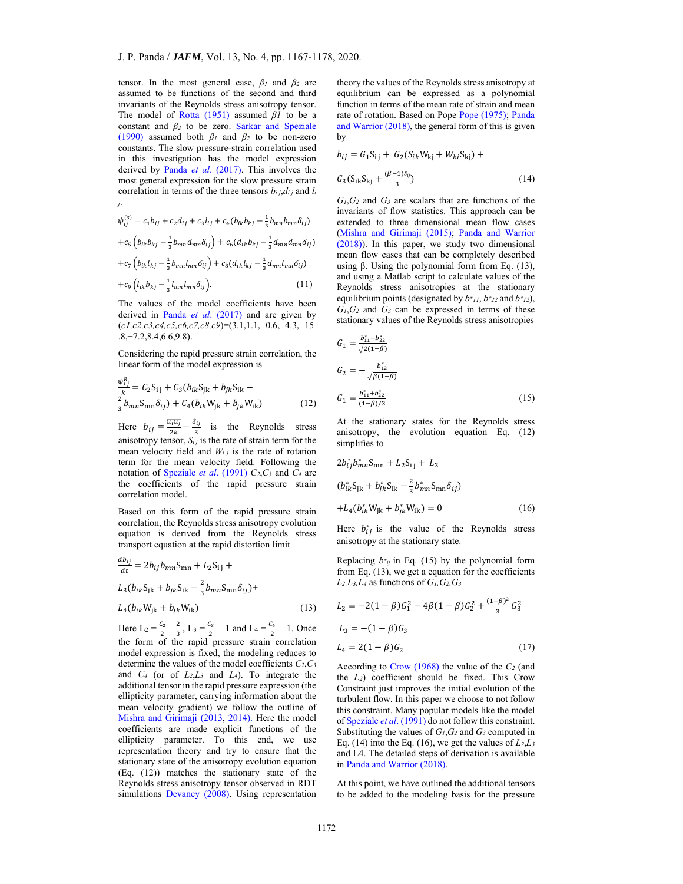tensor. In the most general case, *β1* and *β2* are assumed to be functions of the second and third invariants of the Reynolds stress anisotropy tensor. The model of Rotta (1951) assumed *β1* to be a constant and *β2* to be zero. Sarkar and Speziale (1990) assumed both  $\beta_1$  and  $\beta_2$  to be non-zero constants. The slow pressure-strain correlation used in this investigation has the model expression derived by Panda *et al*. (2017). This involves the most general expression for the slow pressure strain correlation in terms of the three tensors  $b_{i j}, d_{i j}$  and  $l_i$ *j*.

$$
\psi_{ij}^{(s)}=c_1b_{ij}+c_2d_{ij}+c_3l_{ij}+c_4(b_{ik}b_{kj}-\tfrac{1}{3}b_{mn}b_{mn}\delta_{ij})
$$

$$
+c_5\left(b_{ik}b_{kj}-\frac{1}{3}b_{mn}d_{mn}\delta_{ij}\right)+c_6(d_{ik}b_{kj}-\frac{1}{3}d_{mn}d_{mn}\delta_{ij})
$$

$$
+c_{7}\left(b_{ik}l_{kj}-\frac{1}{3}b_{mn}l_{mn}\delta_{ij}\right)+c_{8}(d_{ik}l_{kj}-\frac{1}{3}d_{mn}l_{mn}\delta_{ij})
$$

$$
+c_{9}\left(l_{ik}b_{kj}-\frac{1}{3}l_{mn}l_{mn}\delta_{ij}\right).
$$
 (11)

The values of the model coefficients have been derived in Panda *et al*. (2017) and are given by (*c1,c2,c3,c4,c5,c6,c7,c8,c9*)=(3.1,1.1,−0.6,−4.3,−15 .8,−7.2,8.4,6.6,9.8).

Considering the rapid pressure strain correlation, the linear form of the model expression is

$$
\frac{\psi_{i,j}^{R}}{k} = C_{2}S_{ij} + C_{3}(b_{ik}S_{jk} + b_{jk}S_{ik} - \frac{2}{3}b_{mn}S_{mn}\delta_{ij}) + C_{4}(b_{ik}W_{jk} + b_{jk}W_{ik})
$$
\n(12)

Here  $b_{ij} = \frac{\overline{u_i u_j}}{2k} - \frac{\delta_{ij}}{3}$  is the Reynolds stress anisotropy tensor,  $S_{ij}$  is the rate of strain term for the mean velocity field and  $W_{i,j}$  is the rate of rotation term for the mean velocity field. Following the notation of Speziale *et al*. (1991) *C2*,*C3* and *C4* are the coefficients of the rapid pressure strain correlation model.

Based on this form of the rapid pressure strain correlation, the Reynolds stress anisotropy evolution equation is derived from the Reynolds stress transport equation at the rapid distortion limit

$$
\frac{ab_{ij}}{dt} = 2b_{ij}b_{mn}S_{mn} + L_2S_{ij} +
$$
  
\n
$$
L_3(b_{ik}S_{jk} + b_{jk}S_{ik} - \frac{2}{3}b_{mn}S_{mn}\delta_{ij}) +
$$
  
\n
$$
L_4(b_{ik}W_{jk} + b_{jk}W_{ik})
$$
\n(13)

Here  $L_2 = \frac{c_2}{2} - \frac{2}{3}$ ,  $L_3 = \frac{c_3}{2} - 1$  and  $L_4 = \frac{c_4}{2} - 1$ . Once the form of the rapid pressure strain correlation model expression is fixed, the modeling reduces to determine the values of the model coefficients *C2*,*C3* and *C4* (or of *L2*,*L3* and *L4*). To integrate the additional tensor in the rapid pressure expression (the ellipticity parameter, carrying information about the mean velocity gradient) we follow the outline of Mishra and Girimaji (2013, 2014). Here the model coefficients are made explicit functions of the ellipticity parameter. To this end, we use representation theory and try to ensure that the stationary state of the anisotropy evolution equation (Eq. (12)) matches the stationary state of the Reynolds stress anisotropy tensor observed in RDT simulations Devaney (2008). Using representation

theory the values of the Reynolds stress anisotropy at equilibrium can be expressed as a polynomial function in terms of the mean rate of strain and mean rate of rotation. Based on Pope Pope (1975); Panda and Warrior (2018), the general form of this is given by

$$
b_{ij} = G_1 S_{ij} + G_2 (S_{ik} W_{kj} + W_{ki} S_{kj}) +
$$
  

$$
G_3 (S_{ik} S_{kj} + \frac{(\beta - 1)\delta_{ij}}{3})
$$
 (14)

 $G_1, G_2$  and  $G_3$  are scalars that are functions of the invariants of flow statistics. This approach can be extended to three dimensional mean flow cases (Mishra and Girimaji (2015); Panda and Warrior (2018)). In this paper, we study two dimensional mean flow cases that can be completely described using β. Using the polynomial form from Eq.  $(13)$ , and using a Matlab script to calculate values of the Reynolds stress anisotropies at the stationary equilibrium points (designated by  $b *_{11}$ ,  $b *_{22}$  and  $b *_{12}$ ), *G1*,*G2* and *G3* can be expressed in terms of these stationary values of the Reynolds stress anisotropies

$$
G_1 = \frac{b_{11}^* - b_{22}^*}{\sqrt{2(1-\beta)}}
$$
  
\n
$$
G_2 = -\frac{b_{12}^*}{\sqrt{\beta(1-\beta)}}
$$
  
\n
$$
G_1 = \frac{b_{11}^* + b_{22}^*}{(1-\beta)/3}
$$
 (15)

At the stationary states for the Reynolds stress anisotropy, the evolution equation Eq. (12) simplifies to

$$
2b_{ij}^{*}b_{mn}^{*}S_{mn} + L_{2}S_{ij} + L_{3}
$$
  
\n
$$
(b_{ik}^{*}S_{jk} + b_{jk}^{*}S_{ik} - \frac{2}{3}b_{mn}^{*}S_{mn}\delta_{ij})
$$
  
\n
$$
+L_{4}(b_{ik}^{*}W_{jk} + b_{jk}^{*}W_{ik}) = 0
$$
\n(16)

Here  $b_{ij}^*$  is the value of the Reynolds stress anisotropy at the stationary state.

Replacing  $b^*$ <sub>*ij*</sub> in Eq. (15) by the polynomial form from Eq. (13), we get a equation for the coefficients *L2,L3,L4* as functions of *G1,G2,G3*

$$
L_2 = -2(1 - \beta)G_1^2 - 4\beta(1 - \beta)G_2^2 + \frac{(1 - \beta)^2}{3}G_3^2
$$
  
\n
$$
L_3 = -(1 - \beta)G_3
$$
  
\n
$$
L_4 = 2(1 - \beta)G_2
$$
 (17)

According to Crow (1968) the value of the *C2* (and the *L2*) coefficient should be fixed. This Crow Constraint just improves the initial evolution of the turbulent flow. In this paper we choose to not follow this constraint. Many popular models like the model of Speziale *et al*. (1991) do not follow this constraint. Substituting the values of *G1*,*G2* and *G3* computed in Eq. (14) into the Eq. (16), we get the values of  $L_2, L_3$ and L4. The detailed steps of derivation is available in Panda and Warrior (2018).

At this point, we have outlined the additional tensors to be added to the modeling basis for the pressure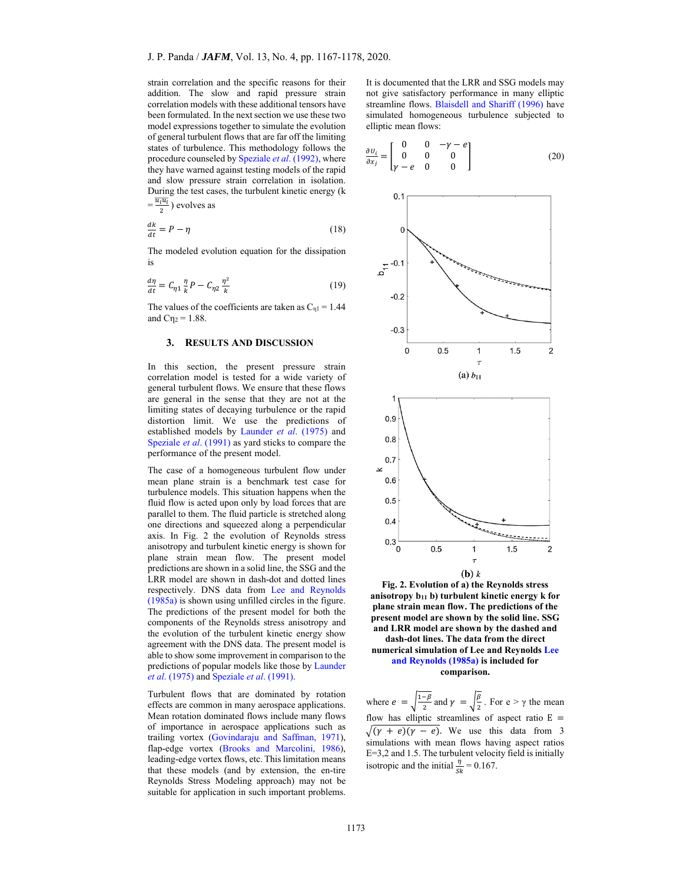strain correlation and the specific reasons for their addition. The slow and rapid pressure strain correlation models with these additional tensors have been formulated. In the next section we use these two model expressions together to simulate the evolution of general turbulent flows that are far off the limiting states of turbulence. This methodology follows the procedure counseled by Speziale *et al*. (1992), where they have warned against testing models of the rapid and slow pressure strain correlation in isolation. During the test cases, the turbulent kinetic energy (k  $=\frac{\overline{u_l u_l}}{2}$ ) evolves as

$$
\frac{dk}{dt} = P - \eta \tag{18}
$$

The modeled evolution equation for the dissipation is

$$
\frac{d\eta}{dt} = C_{\eta 1} \frac{\eta}{k} P - C_{\eta 2} \frac{\eta^2}{k} \tag{19}
$$

The values of the coefficients are taken as  $C_{\eta1} = 1.44$ and  $C_{12} = 1.88$ .

### **3. RESULTS AND DISCUSSION**

In this section, the present pressure strain correlation model is tested for a wide variety of general turbulent flows. We ensure that these flows are general in the sense that they are not at the limiting states of decaying turbulence or the rapid distortion limit. We use the predictions of established models by Launder *et al*. (1975) and Speziale *et al*. (1991) as yard sticks to compare the performance of the present model.

The case of a homogeneous turbulent flow under mean plane strain is a benchmark test case for turbulence models. This situation happens when the fluid flow is acted upon only by load forces that are parallel to them. The fluid particle is stretched along one directions and squeezed along a perpendicular axis. In Fig. 2 the evolution of Reynolds stress anisotropy and turbulent kinetic energy is shown for plane strain mean flow. The present model predictions are shown in a solid line, the SSG and the LRR model are shown in dash-dot and dotted lines respectively. DNS data from Lee and Reynolds (1985a) is shown using unfilled circles in the figure. The predictions of the present model for both the components of the Reynolds stress anisotropy and the evolution of the turbulent kinetic energy show agreement with the DNS data. The present model is able to show some improvement in comparison to the predictions of popular models like those by Launder *et al*. (1975) and Speziale *et al*. (1991).

Turbulent flows that are dominated by rotation effects are common in many aerospace applications. Mean rotation dominated flows include many flows of importance in aerospace applications such as trailing vortex (Govindaraju and Saffman, 1971), flap-edge vortex (Brooks and Marcolini, 1986), leading-edge vortex flows, etc. This limitation means that these models (and by extension, the en-tire Reynolds Stress Modeling approach) may not be suitable for application in such important problems.

It is documented that the LRR and SSG models may not give satisfactory performance in many elliptic streamline flows. Blaisdell and Shariff (1996) have simulated homogeneous turbulence subjected to elliptic mean flows:

$$
\frac{\partial U_i}{\partial x_j} = \begin{bmatrix} 0 & 0 & -\gamma - e \\ 0 & 0 & 0 \\ \gamma - e & 0 & 0 \end{bmatrix}
$$
 (20)



**Fig. 2. Evolution of a) the Reynolds stress anisotropy b11 b) turbulent kinetic energy k for plane strain mean flow. The predictions of the present model are shown by the solid line. SSG and LRR model are shown by the dashed and dash-dot lines. The data from the direct numerical simulation of Lee and Reynolds Lee and Reynolds (1985a) is included for** 

**comparison.** 

where  $e = \sqrt{\frac{1-\beta}{2}}$  and  $\gamma = \sqrt{\frac{\beta}{2}}$ . For  $e > \gamma$  the mean flow has elliptic streamlines of aspect ratio  $E =$  $\sqrt{(y + e)(y - e)}$ . We use this data from 3 simulations with mean flows having aspect ratios E=3,2 and 1.5. The turbulent velocity field is initially isotropic and the initial  $\frac{\eta}{sk} = 0.167$ .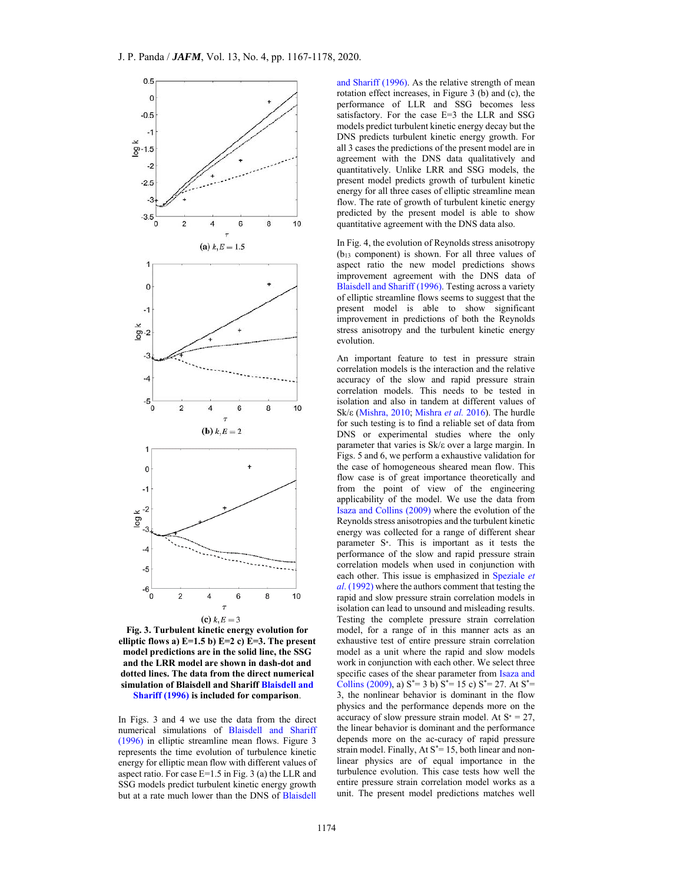

**Fig. 3. Turbulent kinetic energy evolution for elliptic flows a) E=1.5 b) E=2 c) E=3. The present model predictions are in the solid line, the SSG and the LRR model are shown in dash-dot and dotted lines. The data from the direct numerical simulation of Blaisdell and Shariff Blaisdell and Shariff (1996) is included for comparison**.

In Figs. 3 and 4 we use the data from the direct numerical simulations of Blaisdell and Shariff (1996) in elliptic streamline mean flows. Figure 3 represents the time evolution of turbulence kinetic energy for elliptic mean flow with different values of aspect ratio. For case E=1.5 in Fig. 3 (a) the LLR and SSG models predict turbulent kinetic energy growth but at a rate much lower than the DNS of Blaisdell and Shariff (1996). As the relative strength of mean rotation effect increases, in Figure 3 (b) and (c), the performance of LLR and SSG becomes less satisfactory. For the case E=3 the LLR and SSG models predict turbulent kinetic energy decay but the DNS predicts turbulent kinetic energy growth. For all 3 cases the predictions of the present model are in agreement with the DNS data qualitatively and quantitatively. Unlike LRR and SSG models, the present model predicts growth of turbulent kinetic energy for all three cases of elliptic streamline mean flow. The rate of growth of turbulent kinetic energy predicted by the present model is able to show quantitative agreement with the DNS data also.

In Fig. 4, the evolution of Reynolds stress anisotropy (b13 component) is shown. For all three values of aspect ratio the new model predictions shows improvement agreement with the DNS data of Blaisdell and Shariff (1996). Testing across a variety of elliptic streamline flows seems to suggest that the present model is able to show significant improvement in predictions of both the Reynolds stress anisotropy and the turbulent kinetic energy evolution.

An important feature to test in pressure strain correlation models is the interaction and the relative accuracy of the slow and rapid pressure strain correlation models. This needs to be tested in isolation and also in tandem at different values of Sk/ε (Mishra, 2010; Mishra *et al.* 2016). The hurdle for such testing is to find a reliable set of data from DNS or experimental studies where the only parameter that varies is Sk/ε over a large margin. In Figs. 5 and 6, we perform a exhaustive validation for the case of homogeneous sheared mean flow. This flow case is of great importance theoretically and from the point of view of the engineering applicability of the model. We use the data from Isaza and Collins (2009) where the evolution of the Reynolds stress anisotropies and the turbulent kinetic energy was collected for a range of different shear parameter S∗. This is important as it tests the performance of the slow and rapid pressure strain correlation models when used in conjunction with each other. This issue is emphasized in Speziale *et al*. (1992) where the authors comment that testing the rapid and slow pressure strain correlation models in isolation can lead to unsound and misleading results. Testing the complete pressure strain correlation model, for a range of in this manner acts as an exhaustive test of entire pressure strain correlation model as a unit where the rapid and slow models work in conjunction with each other. We select three specific cases of the shear parameter from Isaza and Collins (2009), a)  $S^* = 3 b$ )  $S^* = 15 c$ )  $S^* = 27$ . At  $S^* =$ 3, the nonlinear behavior is dominant in the flow physics and the performance depends more on the accuracy of slow pressure strain model. At  $S^* = 27$ , the linear behavior is dominant and the performance depends more on the ac-curacy of rapid pressure strain model. Finally,  $At S^* = 15$ , both linear and nonlinear physics are of equal importance in the turbulence evolution. This case tests how well the entire pressure strain correlation model works as a unit. The present model predictions matches well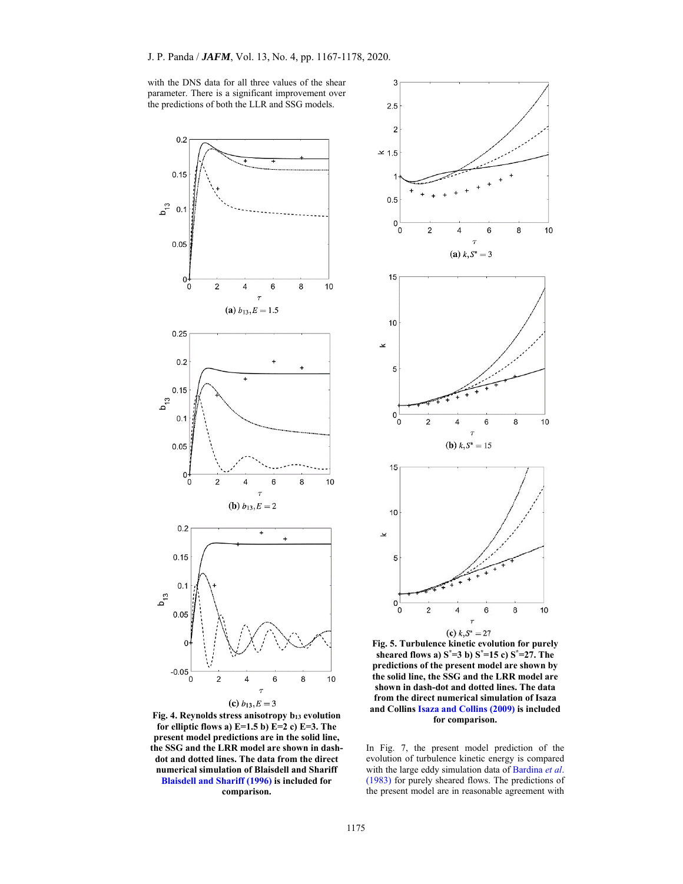with the DNS data for all three values of the shear parameter. There is a significant improvement over the predictions of both the LLR and SSG models.



**Fig. 4. Reynolds stress anisotropy b13 evolution for elliptic flows a) E=1.5 b) E=2 c) E=3. The present model predictions are in the solid line, the SSG and the LRR model are shown in dashdot and dotted lines. The data from the direct numerical simulation of Blaisdell and Shariff Blaisdell and Shariff (1996) is included for comparison.** 



**Fig. 5. Turbulence kinetic evolution for purely sheared flows a) S\*=3 b) S\*=15 c) S\*=27. The predictions of the present model are shown by the solid line, the SSG and the LRR model are shown in dash-dot and dotted lines. The data from the direct numerical simulation of Isaza and Collins Isaza and Collins (2009) is included for comparison.** 

In Fig. 7, the present model prediction of the evolution of turbulence kinetic energy is compared with the large eddy simulation data of Bardina *et al*. (1983) for purely sheared flows. The predictions of the present model are in reasonable agreement with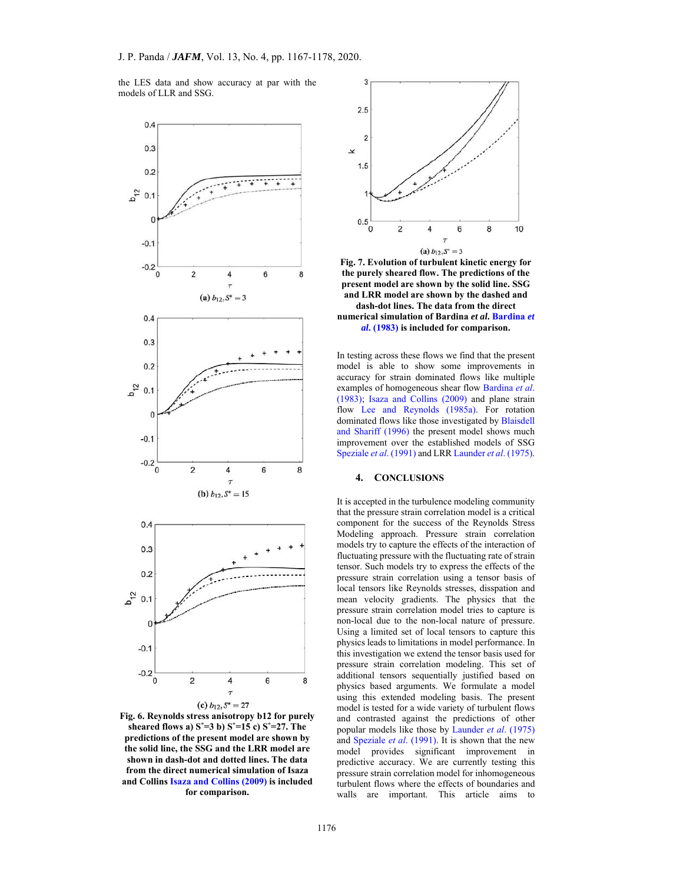the LES data and show accuracy at par with the models of LLR and SSG.



**Fig. 6. Reynolds stress anisotropy b12 for purely sheared flows a) S\*=3 b) S\*=15 c) S\*=27. The predictions of the present model are shown by the solid line, the SSG and the LRR model are shown in dash-dot and dotted lines. The data from the direct numerical simulation of Isaza and Collins Isaza and Collins (2009) is included for comparison.** 



**Fig. 7. Evolution of turbulent kinetic energy for the purely sheared flow. The predictions of the present model are shown by the solid line. SSG and LRR model are shown by the dashed and dash-dot lines. The data from the direct** 

**numerical simulation of Bardina** *et al***. Bardina** *et al***. (1983) is included for comparison.** 

In testing across these flows we find that the present model is able to show some improvements in accuracy for strain dominated flows like multiple examples of homogeneous shear flow Bardina *et al*. (1983); Isaza and Collins (2009) and plane strain flow Lee and Reynolds (1985a). For rotation dominated flows like those investigated by Blaisdell and Shariff (1996) the present model shows much improvement over the established models of SSG Speziale *et al*. (1991) and LRR Launder *et al*. (1975).

# **4. CONCLUSIONS**

It is accepted in the turbulence modeling community that the pressure strain correlation model is a critical component for the success of the Reynolds Stress Modeling approach. Pressure strain correlation models try to capture the effects of the interaction of fluctuating pressure with the fluctuating rate of strain tensor. Such models try to express the effects of the pressure strain correlation using a tensor basis of local tensors like Reynolds stresses, disspation and mean velocity gradients. The physics that the pressure strain correlation model tries to capture is non-local due to the non-local nature of pressure. Using a limited set of local tensors to capture this physics leads to limitations in model performance. In this investigation we extend the tensor basis used for pressure strain correlation modeling. This set of additional tensors sequentially justified based on physics based arguments. We formulate a model using this extended modeling basis. The present model is tested for a wide variety of turbulent flows and contrasted against the predictions of other popular models like those by Launder *et al*. (1975) and Speziale *et al*. (1991). It is shown that the new model provides significant improvement in predictive accuracy. We are currently testing this pressure strain correlation model for inhomogeneous turbulent flows where the effects of boundaries and walls are important. This article aims to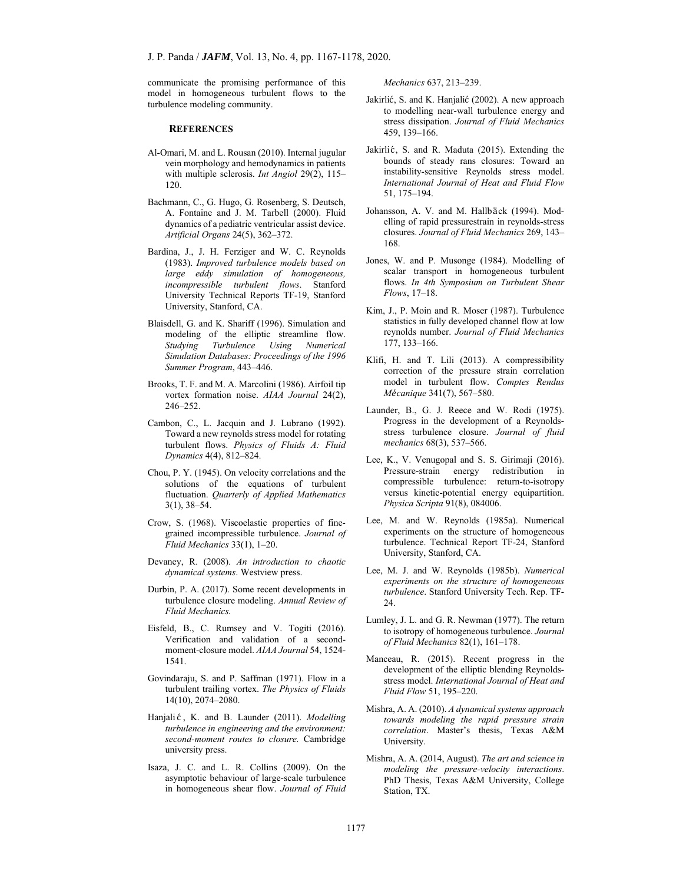communicate the promising performance of this model in homogeneous turbulent flows to the turbulence modeling community.

#### **REFERENCES**

- Al-Omari, M. and L. Rousan (2010). Internal jugular vein morphology and hemodynamics in patients with multiple sclerosis. *Int Angiol* 29(2), 115– 120.
- Bachmann, C., G. Hugo, G. Rosenberg, S. Deutsch, A. Fontaine and J. M. Tarbell (2000). Fluid dynamics of a pediatric ventricular assist device. *Artificial Organs* 24(5), 362–372.
- Bardina, J., J. H. Ferziger and W. C. Reynolds (1983). *Improved turbulence models based on large eddy simulation of homogeneous, incompressible turbulent flows*. Stanford University Technical Reports TF-19, Stanford University, Stanford, CA.
- Blaisdell, G. and K. Shariff (1996). Simulation and modeling of the elliptic streamline flow. *Studying Turbulence Using Numerical Simulation Databases: Proceedings of the 1996 Summer Program*, 443–446.
- Brooks, T. F. and M. A. Marcolini (1986). Airfoil tip vortex formation noise. *AIAA Journal* 24(2), 246–252.
- Cambon, C., L. Jacquin and J. Lubrano (1992). Toward a new reynolds stress model for rotating turbulent flows. *Physics of Fluids A: Fluid Dynamics* 4(4), 812–824.
- Chou, P. Y. (1945). On velocity correlations and the solutions of the equations of turbulent fluctuation. *Quarterly of Applied Mathematics* 3(1), 38–54.
- Crow, S. (1968). Viscoelastic properties of finegrained incompressible turbulence. *Journal of Fluid Mechanics* 33(1), 1–20.
- Devaney, R. (2008). *An introduction to chaotic dynamical systems*. Westview press.
- Durbin, P. A. (2017). Some recent developments in turbulence closure modeling. *Annual Review of Fluid Mechanics.*
- Eisfeld, B., C. Rumsey and V. Togiti (2016). Verification and validation of a secondmoment-closure model. *AIAA Journal* 54, 1524- 1541.
- Govindaraju, S. and P. Saffman (1971). Flow in a turbulent trailing vortex. *The Physics of Fluids* 14(10), 2074–2080.
- Hanjali ć, K. and B. Launder (2011). *Modelling turbulence in engineering and the environment: second-moment routes to closure.* Cambridge university press.
- Isaza, J. C. and L. R. Collins (2009). On the asymptotic behaviour of large-scale turbulence in homogeneous shear flow. *Journal of Fluid*

*Mechanics* 637, 213–239.

- Jakirlić, S. and K. Hanjalić (2002). A new approach to modelling near-wall turbulence energy and stress dissipation. *Journal of Fluid Mechanics* 459, 139–166.
- Jakirlić, S. and R. Maduta (2015). Extending the bounds of steady rans closures: Toward an instability-sensitive Reynolds stress model. *International Journal of Heat and Fluid Flow* 51, 175–194.
- Johansson, A. V. and M. Hallbäck (1994). Modelling of rapid pressurestrain in reynolds-stress closures. *Journal of Fluid Mechanics* 269, 143– 168.
- Jones, W. and P. Musonge (1984). Modelling of scalar transport in homogeneous turbulent flows. *In 4th Symposium on Turbulent Shear Flows*, 17–18.
- Kim, J., P. Moin and R. Moser (1987). Turbulence statistics in fully developed channel flow at low reynolds number. *Journal of Fluid Mechanics* 177, 133–166.
- Klifi, H. and T. Lili (2013). A compressibility correction of the pressure strain correlation model in turbulent flow. *Comptes Rendus Mécanique* 341(7), 567-580.
- Launder, B., G. J. Reece and W. Rodi (1975). Progress in the development of a Reynoldsstress turbulence closure. *Journal of fluid mechanics* 68(3), 537–566.
- Lee, K., V. Venugopal and S. S. Girimaji (2016). Pressure-strain energy redistribution in compressible turbulence: return-to-isotropy versus kinetic-potential energy equipartition. *Physica Scripta* 91(8), 084006.
- Lee, M. and W. Reynolds (1985a). Numerical experiments on the structure of homogeneous turbulence. Technical Report TF-24, Stanford University, Stanford, CA.
- Lee, M. J. and W. Reynolds (1985b). *Numerical experiments on the structure of homogeneous turbulence*. Stanford University Tech. Rep. TF-24.
- Lumley, J. L. and G. R. Newman (1977). The return to isotropy of homogeneous turbulence. *Journal of Fluid Mechanics* 82(1), 161–178.
- Manceau, R. (2015). Recent progress in the development of the elliptic blending Reynoldsstress model. *International Journal of Heat and Fluid Flow* 51, 195–220.
- Mishra, A. A. (2010). *A dynamical systems approach towards modeling the rapid pressure strain correlation*. Master's thesis, Texas A&M University.
- Mishra, A. A. (2014, August). *The art and science in modeling the pressure-velocity interactions*. PhD Thesis, Texas A&M University, College Station, TX.